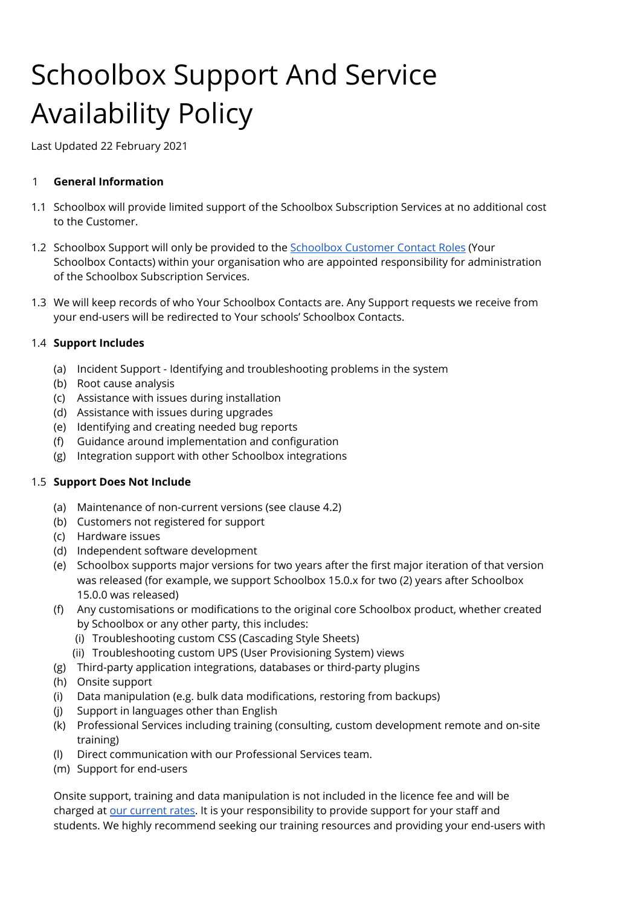# Schoolbox Support And Service Availability Policy

Last Updated 22 February 2021

## 1 **General Information**

- 1.1 Schoolbox will provide limited support of the Schoolbox Subscription Services at no additional cost to the Customer.
- 1.2 [Schoolbox](https://help.schoolbox.com.au/homepage/2876) Support will only be provided to the **Schoolbox Customer Contact Roles** (Your Schoolbox Contacts) within your organisation who are appointed responsibility for administration of the Schoolbox Subscription Services.
- 1.3 We will keep records of who Your Schoolbox Contacts are. Any Support requests we receive from your end-users will be redirected to Your schools' Schoolbox Contacts.

## 1.4 **Support Includes**

- (a) Incident Support Identifying and troubleshooting problems in the system
- (b) Root cause analysis
- (c) Assistance with issues during installation
- (d) Assistance with issues during upgrades
- (e) Identifying and creating needed bug reports
- (f) Guidance around implementation and configuration
- (g) Integration support with other Schoolbox integrations

## 1.5 **Support Does Not Include**

- (a) Maintenance of non-current versions (see clause 4.2)
- (b) Customers not registered for support
- (c) Hardware issues
- (d) Independent software development
- (e) Schoolbox supports major versions for two years after the first major iteration of that version was released (for example, we support Schoolbox 15.0.x for two (2) years after Schoolbox 15.0.0 was released)
- (f) Any customisations or modifications to the original core Schoolbox product, whether created by Schoolbox or any other party, this includes:
	- (i) Troubleshooting custom CSS (Cascading Style Sheets)
	- (ii) Troubleshooting custom UPS (User Provisioning System) views
- (g) Third-party application integrations, databases or third-party plugins
- (h) Onsite support
- (i) Data manipulation (e.g. bulk data modifications, restoring from backups)
- (j) Support in languages other than English
- (k) Professional Services including training (consulting, custom development remote and on-site training)
- (l) Direct communication with our Professional Services team.
- (m) Support for end-users

Onsite support, training and data manipulation is not included in the licence fee and will be charged at our [current](https://help.schoolbox.com.au/homepage/1301) rates. It is your responsibility to provide support for your staff and students. We highly recommend seeking our training resources and providing your end-users with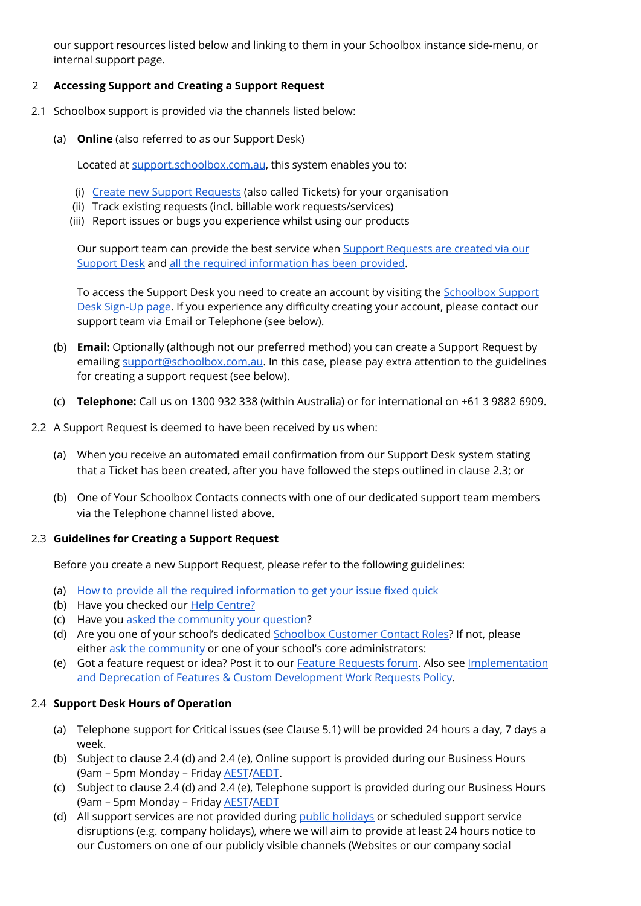our support resources listed below and linking to them in your Schoolbox instance side-menu, or internal support page.

## 2 **Accessing Support and Creating a Support Request**

- 2.1 Schoolbox support is provided via the channels listed below:
	- (a) **Online** (also referred to as our Support Desk)

Located at [support.schoolbox.com.au](https://support.schoolbox.com.au/), this system enables you to:

- (i) Create new Support [Requests](http://support.alaress.com.au/hc/en-us/requests/new) (also called Tickets) for your organisation
- (ii) Track existing requests (incl. billable work requests/services)
- (iii) Report issues or bugs you experience whilst using our products

Our support team can provide the best service when Support [Requests](http://support.alaress.com.au/hc/en-us/requests/new) are created via our [Support](http://support.alaress.com.au/hc/en-us/requests/new) Desk and all the required [information](https://help.schoolbox.com.au/homepage/441) has been provided.

To access the Support Desk you need to create an account by visiting the **[Schoolbox](http://support.alaress.com.au/registration) Support** Desk [Sign-Up](http://support.alaress.com.au/registration) page. If you experience any difficulty creating your account, please contact our support team via Email or Telephone (see below).

- (b) **Email:** Optionally (although not our preferred method) you can create a Support Request by emailing [support@schoolbox.com.au.](mailto:support@schoolbox.com.au) In this case, please pay extra attention to the guidelines for creating a support request (see below).
- (c) **Telephone:** Call us on 1300 932 338 (within Australia) or for international on +61 3 9882 6909.
- 2.2 A Support Request is deemed to have been received by us when:
	- (a) When you receive an automated email confirmation from our Support Desk system stating that a Ticket has been created, after you have followed the steps outlined in clause 2.3; or
	- (b) One of Your Schoolbox Contacts connects with one of our dedicated support team members via the Telephone channel listed above.

## 2.3 **Guidelines for Creating a Support Request**

Before you create a new Support Request, please refer to the following guidelines:

- (a) How to provide all the required [information](https://help.schoolbox.com.au/homepage/441) to get your issue fixed quick
- (b) Have you checked our **Help [Centre?](https://help.schoolbox.com.au/)**
- (c) Have you asked the [community](https://help.schoolbox.com.au/homepage/2791) your question?
- (d) Are you one of your school's dedicated [Schoolbox](https://help.schoolbox.com.au/homepage/2876) Customer Contact Roles? If not, please either ask the [community](https://help.schoolbox.com.au/homepage/194) or one of your school's core administrators:
- (e) Got a feature request or idea? Post it to our Feature [Requests](https://help.schoolbox.com.au/homepage/2797) forum. Also see [Implementation](https://help.schoolbox.com.au/homepage/1822) and Deprecation of Features & Custom [Development](https://help.schoolbox.com.au/homepage/1822) Work Requests Policy.

## 2.4 **Support Desk Hours of Operation**

- (a) Telephone support for Critical issues (see Clause 5.1) will be provided 24 hours a day, 7 days a week.
- (b) Subject to clause 2.4 (d) and 2.4 (e), Online support is provided during our Business Hours (9am – 5pm Monday – Friday [AEST](http://www.timeanddate.com/time/zones/aest)[/AEDT.](http://www.timeanddate.com/time/zones/aedt)
- (c) Subject to clause 2.4 (d) and 2.4 (e), Telephone support is provided during our Business Hours (9am - 5pm Monday - Friday **[AEST](http://www.timeanddate.com/time/zones/aest)[/AEDT](http://www.timeanddate.com/time/zones/aedt)**
- (d) All support services are not provided during public [holidays](https://help.schoolbox.com.au/homepage/1239) or scheduled support service disruptions (e.g. company holidays), where we will aim to provide at least 24 hours notice to our Customers on one of our publicly visible channels (Websites or our company social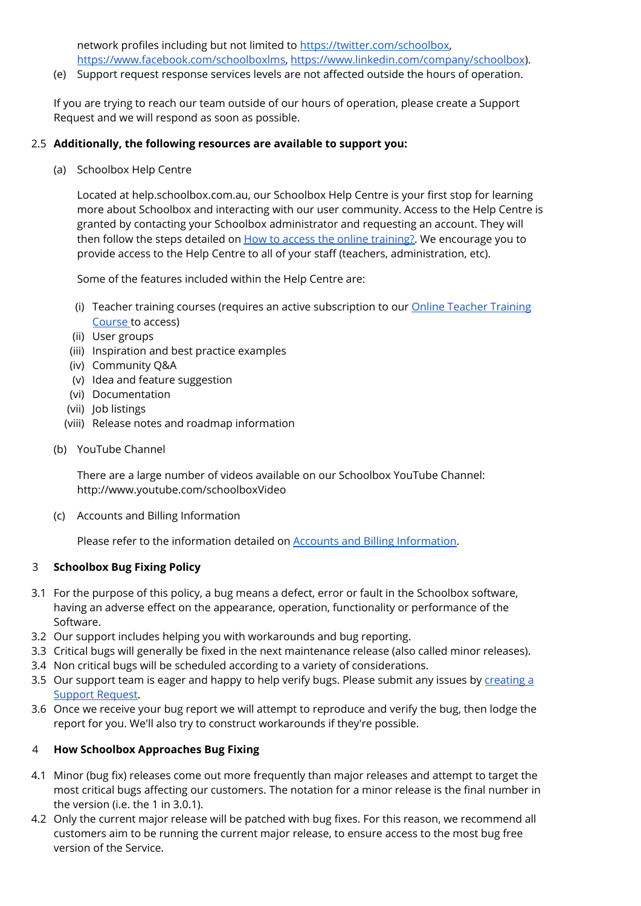network profiles including but not limited to [https://twitter.com/schoolbox,](https://twitter.com/schoolbox) [https://www.facebook.com/schoolboxlms,](https://www.facebook.com/schoolboxlms) <https://www.linkedin.com/company/schoolbox>).

(e) Support request response services levels are not affected outside the hours of operation.

If you are trying to reach our team outside of our hours of operation, please create a Support Request and we will respond as soon as possible.

#### 2.5 **Additionally, the following resources are available to support you:**

(a) Schoolbox Help Centre

Located at help.schoolbox.com.au, our Schoolbox Help Centre is your first stop for learning more about Schoolbox and interacting with our user community. Access to the Help Centre is granted by contacting your Schoolbox administrator and requesting an account. They will then follow the steps detailed on How to access the online training? We encourage you to provide access to the Help Centre to all of your staff (teachers, administration, etc).

Some of the features included within the Help Centre are:

- (i) Teacher training courses (requires an active subscription to our **Online Teacher [Training](https://help.schoolbox.com.au/homepage/2301)** [Course](https://help.schoolbox.com.au/homepage/2301) to access)
- (ii) User groups
- (iii) Inspiration and best practice examples
- (iv) Community Q&A
- (v) Idea and feature suggestion
- (vi) Documentation
- (vii) Job listings
- (viii) Release notes and roadmap information
- (b) YouTube Channel

There are a large number of videos available on our Schoolbox YouTube Channel: <http://www.youtube.com/schoolboxVideo>

(c) Accounts and Billing Information

Please refer to the information detailed on **Accounts and Billing Information**.

## 3 **Schoolbox Bug Fixing Policy**

- 3.1 For the purpose of this policy, a bug means a defect, error or fault in the Schoolbox software, having an adverse effect on the appearance, operation, functionality or performance of the Software.
- 3.2 Our support includes helping you with workarounds and bug reporting.
- 3.3 Critical bugs will generally be fixed in the next maintenance release (also called minor releases).
- 3.4 Non critical bugs will be scheduled according to a variety of considerations.
- 3.5 Our support team is eager and happy to help verify bugs. Please submit any issues by [creating](https://support.alaress.com.au/hc/en-us/requests/new) a Support [Request](https://support.alaress.com.au/hc/en-us/requests/new).
- 3.6 Once we receive your bug report we will attempt to reproduce and verify the bug, then lodge the report for you. We'll also try to construct workarounds if they're possible.

## 4 **How Schoolbox Approaches Bug Fixing**

- 4.1 Minor (bug fix) releases come out more frequently than major releases and attempt to target the most critical bugs affecting our customers. The notation for a minor release is the final number in the version (i.e. the 1 in 3.0.1).
- 4.2 Only the current major release will be patched with bug fixes. For this reason, we recommend all customers aim to be running the current major release, to ensure access to the most bug free version of the Service.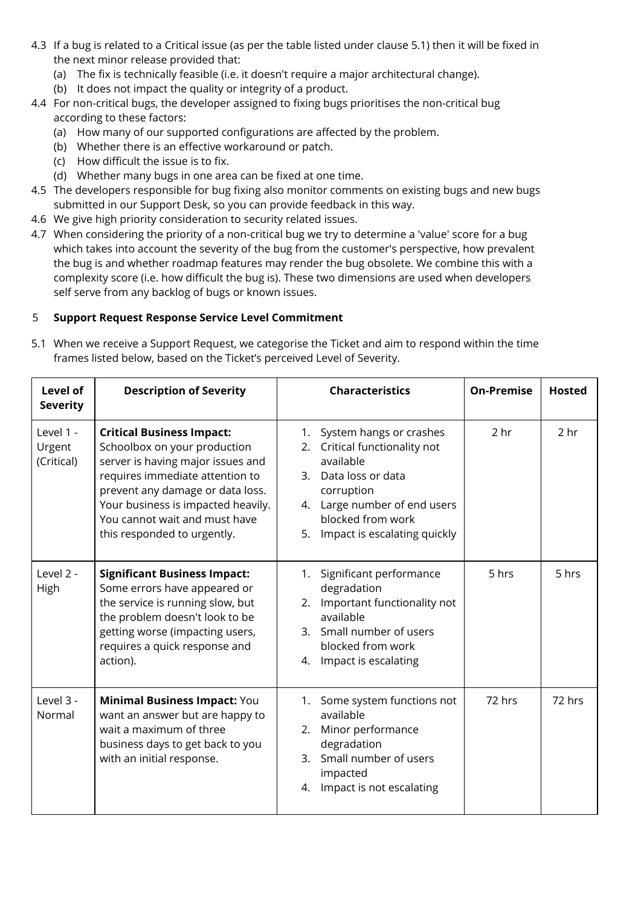- 4.3 If a bug is related to a Critical issue (as per the table listed under clause 5.1) then it will be fixed in the next minor release provided that:
	- (a) The fix is technically feasible (i.e. it doesn't require a major architectural change).
	- (b) It does not impact the quality or integrity of a product.
- 4.4 For non-critical bugs, the developer assigned to fixing bugs prioritises the non-critical bug according to these factors:
	- (a) How many of our supported configurations are affected by the problem.
	- (b) Whether there is an effective workaround or patch.
	- (c) How difficult the issue is to fix.
	- (d) Whether many bugs in one area can be fixed at one time.
- 4.5 The developers responsible for bug fixing also monitor comments on existing bugs and new bugs submitted in our Support Desk, so you can provide feedback in this way.
- 4.6 We give high priority consideration to security related issues.
- 4.7 When considering the priority of a non-critical bug we try to determine a 'value' score for a bug which takes into account the severity of the bug from the customer's perspective, how prevalent the bug is and whether roadmap features may render the bug obsolete. We combine this with a complexity score (i.e. how difficult the bug is). These two dimensions are used when developers self serve from any backlog of bugs or known issues.

## 5 **Support Request Response Service Level Commitment**

5.1 When we receive a Support Request, we categorise the Ticket and aim to respond within the time frames listed below, based on the Ticket's perceived Level of Severity.

| <b>Level of</b><br><b>Severity</b> | <b>Description of Severity</b>                                                                                                                                                                                                                                                     | <b>Characteristics</b>                                                                                                                                                                                          | <b>On-Premise</b> | <b>Hosted</b>   |
|------------------------------------|------------------------------------------------------------------------------------------------------------------------------------------------------------------------------------------------------------------------------------------------------------------------------------|-----------------------------------------------------------------------------------------------------------------------------------------------------------------------------------------------------------------|-------------------|-----------------|
| Level 1 -<br>Urgent<br>(Critical)  | <b>Critical Business Impact:</b><br>Schoolbox on your production<br>server is having major issues and<br>requires immediate attention to<br>prevent any damage or data loss.<br>Your business is impacted heavily.<br>You cannot wait and must have<br>this responded to urgently. | System hangs or crashes<br>1.<br>Critical functionality not<br>2.<br>available<br>3. Data loss or data<br>corruption<br>4. Large number of end users<br>blocked from work<br>Impact is escalating quickly<br>5. | 2 <sub>hr</sub>   | 2 <sub>hr</sub> |
| Level 2 -<br>High                  | <b>Significant Business Impact:</b><br>Some errors have appeared or<br>the service is running slow, but<br>the problem doesn't look to be<br>getting worse (impacting users,<br>requires a quick response and<br>action).                                                          | Significant performance<br>1.<br>degradation<br>Important functionality not<br>2.<br>available<br>Small number of users<br>3.<br>blocked from work<br>Impact is escalating<br>4.                                | 5 hrs             | 5 hrs           |
| Level 3 -<br>Normal                | Minimal Business Impact: You<br>want an answer but are happy to<br>wait a maximum of three<br>business days to get back to you<br>with an initial response.                                                                                                                        | 1. Some system functions not<br>available<br>Minor performance<br>2.<br>degradation<br>3. Small number of users<br>impacted<br>Impact is not escalating<br>4.                                                   | 72 hrs            | 72 hrs          |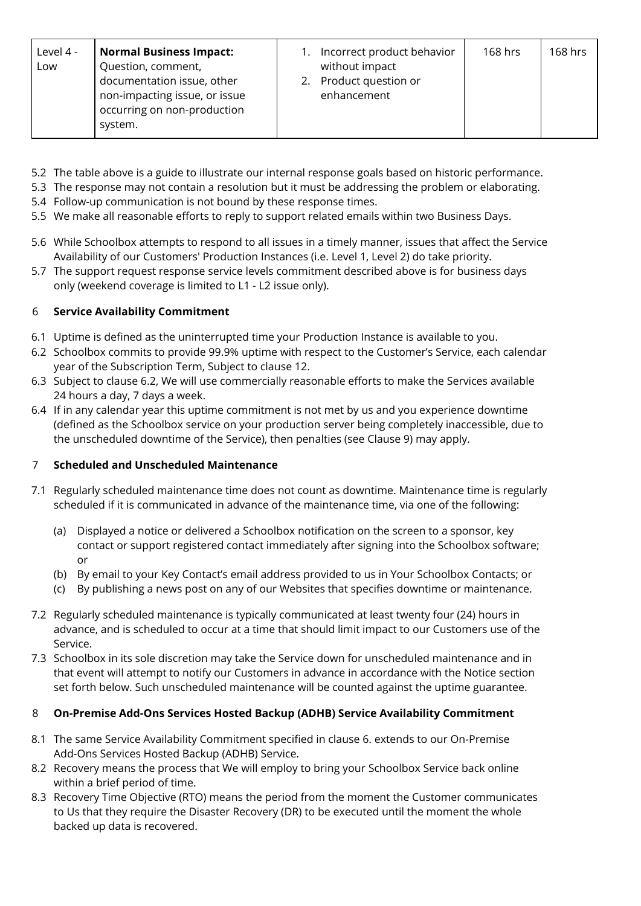| Level 4 -<br>Low<br>system. | <b>Normal Business Impact:</b><br>Question, comment,<br>documentation issue, other<br>non-impacting issue, or issue<br>occurring on non-production |  | Incorrect product behavior<br>without impact<br>Product question or<br>enhancement | $168$ hrs | 168 hrs |
|-----------------------------|----------------------------------------------------------------------------------------------------------------------------------------------------|--|------------------------------------------------------------------------------------|-----------|---------|
|-----------------------------|----------------------------------------------------------------------------------------------------------------------------------------------------|--|------------------------------------------------------------------------------------|-----------|---------|

- 5.2 The table above is a guide to illustrate our internal response goals based on historic performance.
- 5.3 The response may not contain a resolution but it must be addressing the problem or elaborating.
- 5.4 Follow-up communication is not bound by these response times.
- 5.5 We make all reasonable efforts to reply to support related emails within two Business Days.
- 5.6 While Schoolbox attempts to respond to all issues in a timely manner, issues that affect the Service Availability of our Customers' Production Instances (i.e. Level 1, Level 2) do take priority.
- 5.7 The support request response service levels commitment described above is for business days only (weekend coverage is limited to L1 - L2 issue only).

## 6 **Service Availability Commitment**

- 6.1 Uptime is defined as the uninterrupted time your Production Instance is available to you.
- 6.2 Schoolbox commits to provide 99.9% uptime with respect to the Customer's Service, each calendar year of the Subscription Term, Subject to clause 12.
- 6.3 Subject to clause 6.2, We will use commercially reasonable efforts to make the Services available 24 hours a day, 7 days a week.
- 6.4 If in any calendar year this uptime commitment is not met by us and you experience downtime (defined as the Schoolbox service on your production server being completely inaccessible, due to the unscheduled downtime of the Service), then penalties (see Clause 9) may apply.

## 7 **Scheduled and Unscheduled Maintenance**

- 7.1 Regularly scheduled maintenance time does not count as downtime. Maintenance time is regularly scheduled if it is communicated in advance of the maintenance time, via one of the following:
	- (a) Displayed a notice or delivered a Schoolbox notification on the screen to a sponsor, key contact or support registered contact immediately after signing into the Schoolbox software; or
	- (b) By email to your Key Contact's email address provided to us in Your Schoolbox Contacts; or
	- (c) By publishing a news post on any of our Websites that specifies downtime or maintenance.
- 7.2 Regularly scheduled maintenance is typically communicated at least twenty four (24) hours in advance, and is scheduled to occur at a time that should limit impact to our Customers use of the Service.
- 7.3 Schoolbox in its sole discretion may take the Service down for unscheduled maintenance and in that event will attempt to notify our Customers in advance in accordance with the Notice section set forth below. Such unscheduled maintenance will be counted against the uptime guarantee.

## 8 **On-Premise Add-Ons Services Hosted Backup (ADHB) Service Availability Commitment**

- 8.1 The same Service Availability Commitment specified in clause 6. extends to our On-Premise Add-Ons Services Hosted Backup (ADHB) Service.
- 8.2 Recovery means the process that We will employ to bring your Schoolbox Service back online within a brief period of time.
- 8.3 Recovery Time Objective (RTO) means the period from the moment the Customer communicates to Us that they require the Disaster Recovery (DR) to be executed until the moment the whole backed up data is recovered.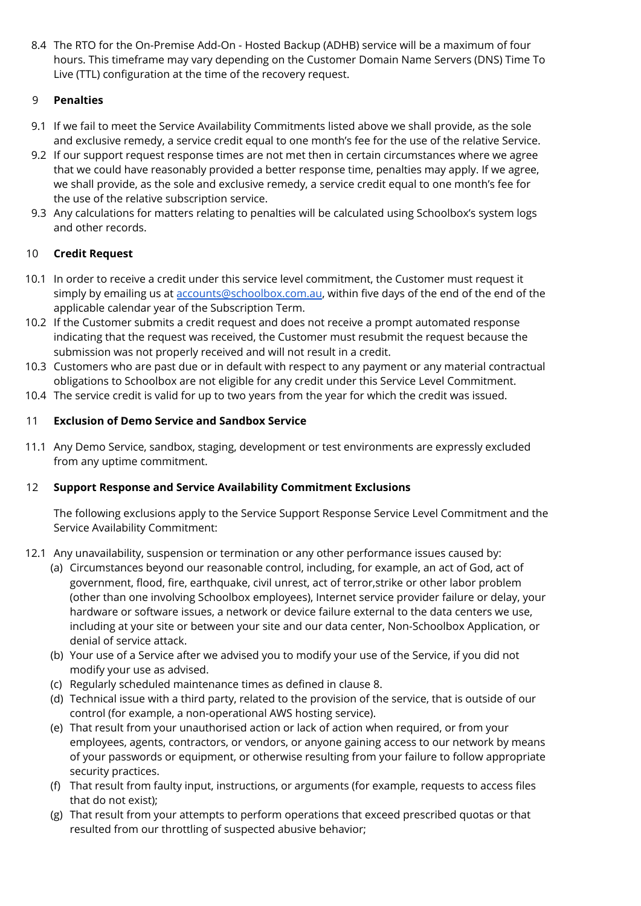8.4 The RTO for the On-Premise Add-On - Hosted Backup (ADHB) service will be a maximum of four hours. This timeframe may vary depending on the Customer Domain Name Servers (DNS) Time To Live (TTL) configuration at the time of the recovery request.

## 9 **Penalties**

- 9.1 If we fail to meet the Service Availability Commitments listed above we shall provide, as the sole and exclusive remedy, a service credit equal to one month's fee for the use of the relative Service.
- 9.2 If our support request response times are not met then in certain circumstances where we agree that we could have reasonably provided a better response time, penalties may apply. If we agree, we shall provide, as the sole and exclusive remedy, a service credit equal to one month's fee for the use of the relative subscription service.
- 9.3 Any calculations for matters relating to penalties will be calculated using Schoolbox's system logs and other records.

## 10 **Credit Request**

- 10.1 In order to receive a credit under this service level commitment, the Customer must request it simply by emailing us at [accounts@schoolbox.com.au,](mailto:accounts@schoolbox.com.au) within five days of the end of the end of the applicable calendar year of the Subscription Term.
- 10.2 If the Customer submits a credit request and does not receive a prompt automated response indicating that the request was received, the Customer must resubmit the request because the submission was not properly received and will not result in a credit.
- 10.3 Customers who are past due or in default with respect to any payment or any material contractual obligations to Schoolbox are not eligible for any credit under this Service Level Commitment.
- 10.4 The service credit is valid for up to two years from the year for which the credit was issued.

## 11 **Exclusion of Demo Service and Sandbox Service**

11.1 Any Demo Service, sandbox, staging, development or test environments are expressly excluded from any uptime commitment.

## 12 **Support Response and Service Availability Commitment Exclusions**

The following exclusions apply to the Service Support Response Service Level Commitment and the Service Availability Commitment:

- 12.1 Any unavailability, suspension or termination or any other performance issues caused by:
	- (a) Circumstances beyond our reasonable control, including, for example, an act of God, act of government, flood, fire, earthquake, civil unrest, act of terror,strike or other labor problem (other than one involving Schoolbox employees), Internet service provider failure or delay, your hardware or software issues, a network or device failure external to the data centers we use, including at your site or between your site and our data center, Non-Schoolbox Application, or denial of service attack.
	- (b) Your use of a Service after we advised you to modify your use of the Service, if you did not modify your use as advised.
	- (c) Regularly scheduled maintenance times as defined in clause 8.
	- (d) Technical issue with a third party, related to the provision of the service, that is outside of our control (for example, a non-operational AWS hosting service).
	- (e) That result from your unauthorised action or lack of action when required, or from your employees, agents, contractors, or vendors, or anyone gaining access to our network by means of your passwords or equipment, or otherwise resulting from your failure to follow appropriate security practices.
	- (f) That result from faulty input, instructions, or arguments (for example, requests to access files that do not exist);
	- (g) That result from your attempts to perform operations that exceed prescribed quotas or that resulted from our throttling of suspected abusive behavior;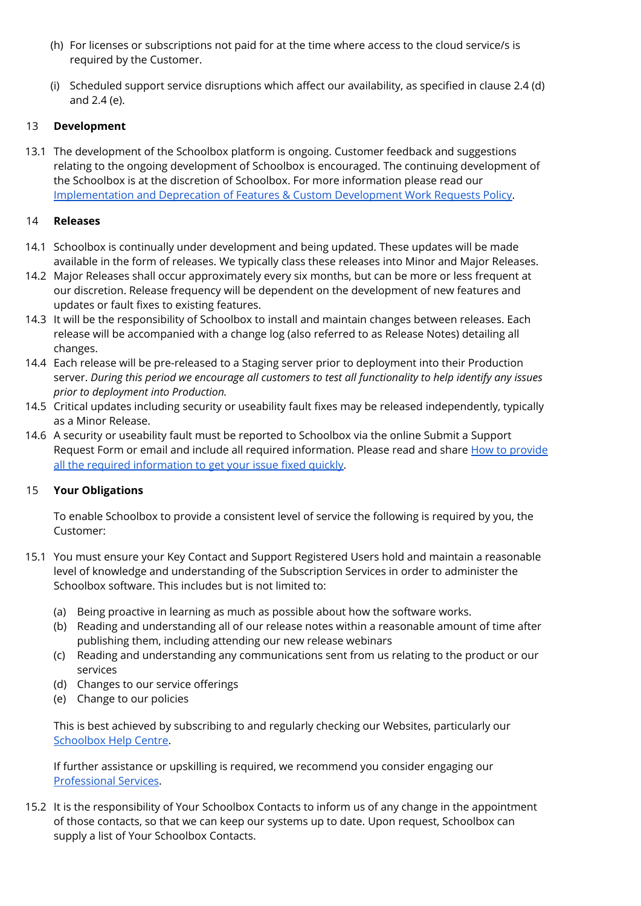- (h) For licenses or subscriptions not paid for at the time where access to the cloud service/s is required by the Customer.
- (i) Scheduled support service disruptions which affect our availability, as specified in clause 2.4 (d) and 2.4 (e).

## 13 **Development**

13.1 The development of the Schoolbox platform is ongoing. Customer feedback and suggestions relating to the ongoing development of Schoolbox is encouraged. The continuing development of the Schoolbox is at the discretion of Schoolbox. For more information please read our [Implementation](https://help.schoolbox.com.au/homepage/1822) and Deprecation of Features & Custom Development Work Requests Policy.

## 14 **Releases**

- 14.1 Schoolbox is continually under development and being updated. These updates will be made available in the form of releases. We typically class these releases into Minor and Major Releases.
- 14.2 Major Releases shall occur approximately every six months, but can be more or less frequent at our discretion. Release frequency will be dependent on the development of new features and updates or fault fixes to existing features.
- 14.3 It will be the responsibility of Schoolbox to install and maintain changes between releases. Each release will be accompanied with a change log (also referred to as Release Notes) detailing all changes.
- 14.4 Each release will be pre-released to a Staging server prior to deployment into their Production server. *During this period we encourage all customers to test all functionality to help identify any issues prior to deployment into Production.*
- 14.5 Critical updates including security or useability fault fixes may be released independently, typically as a Minor Release.
- 14.6 A security or useability fault must be reported to Schoolbox via the online Submit a Support Request Form or email and include all required information. Please read and share How to [provide](https://help.schoolbox.com.au/homepage/441/) all the required [information](https://help.schoolbox.com.au/homepage/441/) to get your issue fixed quickly.

## 15 **Your Obligations**

To enable Schoolbox to provide a consistent level of service the following is required by you, the Customer:

- 15.1 You must ensure your Key Contact and Support Registered Users hold and maintain a reasonable level of knowledge and understanding of the Subscription Services in order to administer the Schoolbox software. This includes but is not limited to:
	- (a) Being proactive in learning as much as possible about how the software works.
	- (b) Reading and understanding all of our release notes within a reasonable amount of time after publishing them, including attending our new release webinars
	- (c) Reading and understanding any communications sent from us relating to the product or our services
	- (d) Changes to our service offerings
	- (e) Change to our policies

This is best achieved by subscribing to and regularly checking our Websites, particularly our [Schoolbox](https://help.schoolbox.com.au/) Help Centre.

If further assistance or upskilling is required, we recommend you consider engaging our [Professional](https://help.schoolbox.com.au/homepage/512) Services.

15.2 It is the responsibility of Your Schoolbox Contacts to inform us of any change in the appointment of those contacts, so that we can keep our systems up to date. Upon request, Schoolbox can supply a list of Your Schoolbox Contacts.